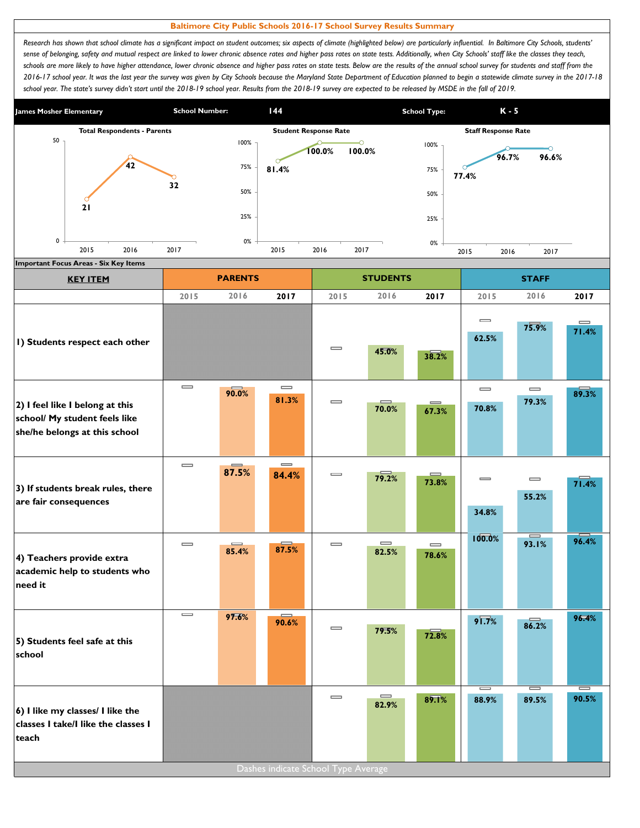## **Baltimore City Public Schools 2016-17 School Survey Results Summary**

Research has shown that school climate has a significant impact on student outcomes; six aspects of climate (highlighted below) are particularly influential. In Baltimore City Schools, students' *sense of belonging, safety and mutual respect are linked to lower chronic absence rates and higher pass rates on state tests. Additionally, when City Schools' staff like the classes they teach,*  schools are more likely to have higher attendance, lower chronic absence and higher pass rates on state tests. Below are the results of the annual school survey for students and staff from the *2016-17 school year. It was the last year the survey was given by City Schools because the Maryland State Department of Education planned to begin a statewide climate survey in the 2017-18*  school year. The state's survey didn't start until the 2018-19 school year. Results from the 2018-19 survey are expected to be released by MSDE in the fall of 2019.



| <b>KEY ITEM</b>                                                                                   |                              | <b>PARENTS</b>    |                                       |                              | <b>STUDENTS</b>                       |                                       |                                       | <b>STAFF</b>                          |                   |
|---------------------------------------------------------------------------------------------------|------------------------------|-------------------|---------------------------------------|------------------------------|---------------------------------------|---------------------------------------|---------------------------------------|---------------------------------------|-------------------|
|                                                                                                   | 2015                         | 2016              | 2017                                  | 2015                         | 2016                                  | 2017                                  | 2015                                  | 2016                                  | 2017              |
| I) Students respect each other                                                                    |                              |                   |                                       | $\equiv$                     | 45.0%                                 | 38.2%                                 | $\equiv$<br>62.5%                     | 75.9%                                 | $\equiv$<br>71.4% |
| 2) I feel like I belong at this<br>school/ My student feels like<br>she/he belongs at this school | $\equiv$                     | 90.0%             | $\equiv$<br>81.3%                     | $\qquad \qquad \qquad =$     | 70.0%                                 | 67.3%                                 | $\qquad \qquad \blacksquare$<br>70.8% | $\qquad \qquad \blacksquare$<br>79.3% | 89.3%             |
| 3) If students break rules, there<br>are fair consequences                                        | $\qquad \qquad \blacksquare$ | $\equiv$<br>87.5% | $\qquad \qquad \blacksquare$<br>84.4% | $\qquad \qquad \blacksquare$ | 79.2%                                 | $\equiv$<br>73.8%                     | $\equiv$<br>34.8%                     | $\qquad \qquad \blacksquare$<br>55.2% | 71.4%             |
| 4) Teachers provide extra<br>academic help to students who<br>need it                             | $\qquad \qquad \blacksquare$ | $\equiv$<br>85.4% | 87.5%                                 | $\qquad \qquad \blacksquare$ | $\qquad \qquad \blacksquare$<br>82.5% | $\qquad \qquad \blacksquare$<br>78.6% | 100.0%                                | $\equiv$<br>93.I%                     | 96.4%             |
| 5) Students feel safe at this<br>school                                                           | $\qquad \qquad \blacksquare$ | 97.6%             | 90.6%                                 | $\equiv$                     | 79.5%                                 | 72.8%                                 | $9\sqrt{7}\%$                         | 86.2%                                 | 96.4%             |
| 6) I like my classes/ I like the<br>classes I take/I like the classes I<br>teach                  |                              |                   | Dashes indicate School Type Average   | $\qquad \qquad \blacksquare$ | $\equiv$<br>82.9%                     | 89.1%                                 | $=$<br>88.9%                          | 89.5%                                 | $\equiv$<br>90.5% |